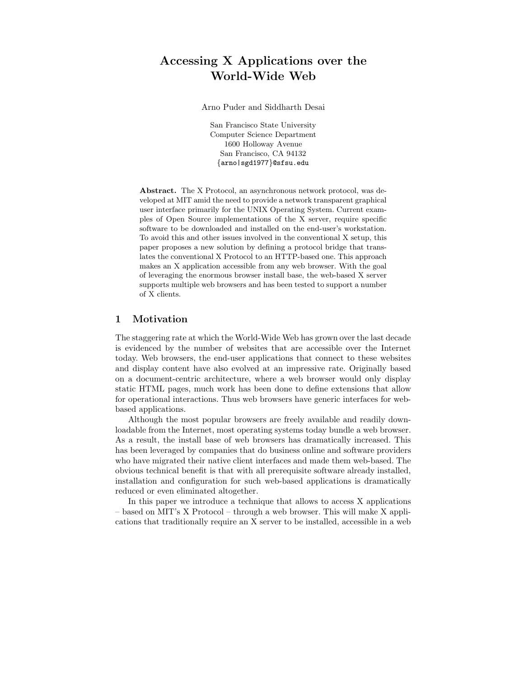## Accessing X Applications over the World-Wide Web

Arno Puder and Siddharth Desai

San Francisco State University Computer Science Department 1600 Holloway Avenue San Francisco, CA 94132 {arno|sgd1977}@sfsu.edu

Abstract. The X Protocol, an asynchronous network protocol, was developed at MIT amid the need to provide a network transparent graphical user interface primarily for the UNIX Operating System. Current examples of Open Source implementations of the X server, require specific software to be downloaded and installed on the end-user's workstation. To avoid this and other issues involved in the conventional X setup, this paper proposes a new solution by defining a protocol bridge that translates the conventional X Protocol to an HTTP-based one. This approach makes an X application accessible from any web browser. With the goal of leveraging the enormous browser install base, the web-based X server supports multiple web browsers and has been tested to support a number of X clients.

## 1 Motivation

The staggering rate at which the World-Wide Web has grown over the last decade is evidenced by the number of websites that are accessible over the Internet today. Web browsers, the end-user applications that connect to these websites and display content have also evolved at an impressive rate. Originally based on a document-centric architecture, where a web browser would only display static HTML pages, much work has been done to define extensions that allow for operational interactions. Thus web browsers have generic interfaces for webbased applications.

Although the most popular browsers are freely available and readily downloadable from the Internet, most operating systems today bundle a web browser. As a result, the install base of web browsers has dramatically increased. This has been leveraged by companies that do business online and software providers who have migrated their native client interfaces and made them web-based. The obvious technical benefit is that with all prerequisite software already installed, installation and configuration for such web-based applications is dramatically reduced or even eliminated altogether.

In this paper we introduce a technique that allows to access X applications – based on MIT's X Protocol – through a web browser. This will make X applications that traditionally require an X server to be installed, accessible in a web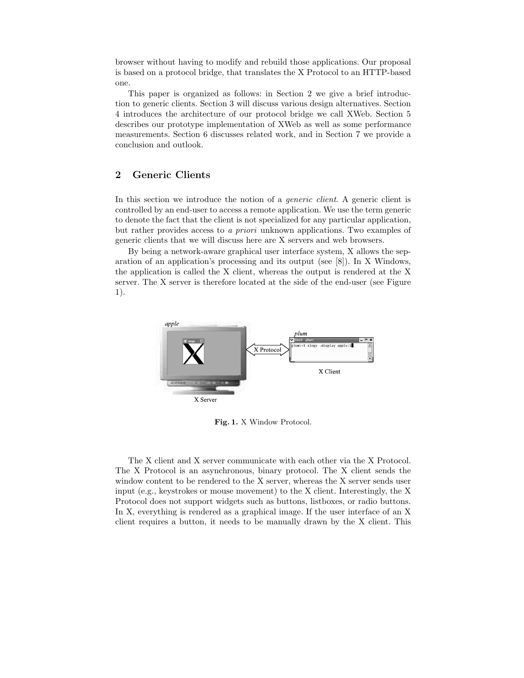browser without having to modify and rebuild those applications. Our proposal is based on a protocol bridge, that translates the X Protocol to an HTTP-based one.

This paper is organized as follows: in Section 2 we give a brief introduction to generic clients. Section 3 will discuss various design alternatives. Section 4 introduces the architecture of our protocol bridge we call XWeb. Section 5 describes our prototype implementation of XWeb as well as some performance measurements. Section 6 discusses related work, and in Section 7 we provide a conclusion and outlook.

## 2 Generic Clients

In this section we introduce the notion of a *generic client*. A generic client is controlled by an end-user to access a remote application. We use the term generic to denote the fact that the client is not specialized for any particular application, but rather provides access to a priori unknown applications. Two examples of generic clients that we will discuss here are X servers and web browsers.

By being a network-aware graphical user interface system, X allows the separation of an application's processing and its output (see [8]). In X Windows, the application is called the X client, whereas the output is rendered at the X server. The X server is therefore located at the side of the end-user (see Figure 1).



Fig. 1. X Window Protocol.

The X client and X server communicate with each other via the X Protocol. The X Protocol is an asynchronous, binary protocol. The X client sends the window content to be rendered to the X server, whereas the X server sends user input (e.g., keystrokes or mouse movement) to the X client. Interestingly, the X Protocol does not support widgets such as buttons, listboxes, or radio buttons. In X, everything is rendered as a graphical image. If the user interface of an X client requires a button, it needs to be manually drawn by the X client. This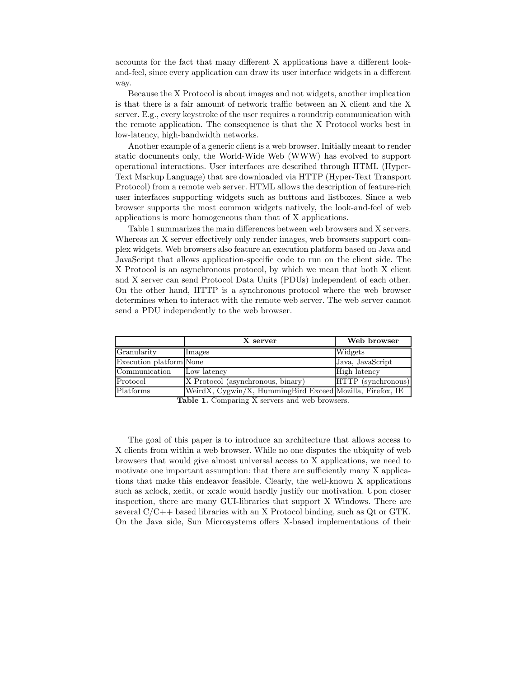accounts for the fact that many different X applications have a different lookand-feel, since every application can draw its user interface widgets in a different way.

Because the X Protocol is about images and not widgets, another implication is that there is a fair amount of network traffic between an X client and the X server. E.g., every keystroke of the user requires a roundtrip communication with the remote application. The consequence is that the X Protocol works best in low-latency, high-bandwidth networks.

Another example of a generic client is a web browser. Initially meant to render static documents only, the World-Wide Web (WWW) has evolved to support operational interactions. User interfaces are described through HTML (Hyper-Text Markup Language) that are downloaded via HTTP (Hyper-Text Transport Protocol) from a remote web server. HTML allows the description of feature-rich user interfaces supporting widgets such as buttons and listboxes. Since a web browser supports the most common widgets natively, the look-and-feel of web applications is more homogeneous than that of X applications.

Table 1 summarizes the main differences between web browsers and X servers. Whereas an X server effectively only render images, web browsers support complex widgets. Web browsers also feature an execution platform based on Java and JavaScript that allows application-specific code to run on the client side. The X Protocol is an asynchronous protocol, by which we mean that both X client and X server can send Protocol Data Units (PDUs) independent of each other. On the other hand, HTTP is a synchronous protocol where the web browser determines when to interact with the remote web server. The web server cannot send a PDU independently to the web browser.

|                         | X server                                                                     | Web browser        |
|-------------------------|------------------------------------------------------------------------------|--------------------|
| Granularity             | Images                                                                       | Widgets            |
| Execution platform None |                                                                              | Java, JavaScript   |
| Communication           | Low latency                                                                  | High latency       |
| Protocol                | X Protocol (asynchronous, binary)                                            | HTTP (synchronous) |
| Platforms               | WeirdX, Cygwin/X, HummingBird Exceed Mozilla, Firefox, IE<br>$-11$ $-2$ $-2$ |                    |

Table 1. Comparing X servers and web browsers.

The goal of this paper is to introduce an architecture that allows access to X clients from within a web browser. While no one disputes the ubiquity of web browsers that would give almost universal access to X applications, we need to motivate one important assumption: that there are sufficiently many X applications that make this endeavor feasible. Clearly, the well-known X applications such as xclock, xedit, or xcalc would hardly justify our motivation. Upon closer inspection, there are many GUI-libraries that support X Windows. There are several  $C/C++$  based libraries with an X Protocol binding, such as Qt or GTK. On the Java side, Sun Microsystems offers X-based implementations of their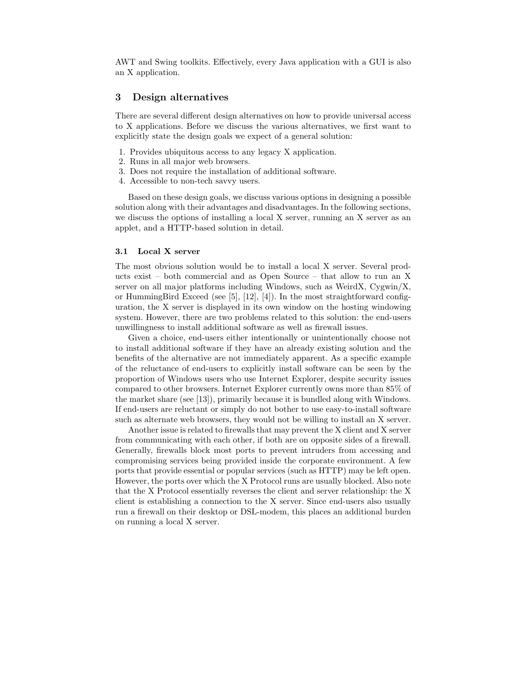AWT and Swing toolkits. Effectively, every Java application with a GUI is also an X application.

#### 3 Design alternatives

There are several different design alternatives on how to provide universal access to X applications. Before we discuss the various alternatives, we first want to explicitly state the design goals we expect of a general solution:

- 1. Provides ubiquitous access to any legacy X application.
- 2. Runs in all major web browsers.
- 3. Does not require the installation of additional software.
- 4. Accessible to non-tech savvy users.

Based on these design goals, we discuss various options in designing a possible solution along with their advantages and disadvantages. In the following sections, we discuss the options of installing a local X server, running an X server as an applet, and a HTTP-based solution in detail.

#### 3.1 Local X server

The most obvious solution would be to install a local X server. Several products exist – both commercial and as Open Source – that allow to run an X server on all major platforms including Windows, such as WeirdX, Cygwin/X, or HummingBird Exceed (see [5], [12], [4]). In the most straightforward configuration, the X server is displayed in its own window on the hosting windowing system. However, there are two problems related to this solution: the end-users unwillingness to install additional software as well as firewall issues.

Given a choice, end-users either intentionally or unintentionally choose not to install additional software if they have an already existing solution and the benefits of the alternative are not immediately apparent. As a specific example of the reluctance of end-users to explicitly install software can be seen by the proportion of Windows users who use Internet Explorer, despite security issues compared to other browsers. Internet Explorer currently owns more than 85% of the market share (see [13]), primarily because it is bundled along with Windows. If end-users are reluctant or simply do not bother to use easy-to-install software such as alternate web browsers, they would not be willing to install an X server.

Another issue is related to firewalls that may prevent the X client and X server from communicating with each other, if both are on opposite sides of a firewall. Generally, firewalls block most ports to prevent intruders from accessing and compromising services being provided inside the corporate environment. A few ports that provide essential or popular services (such as HTTP) may be left open. However, the ports over which the X Protocol runs are usually blocked. Also note that the X Protocol essentially reverses the client and server relationship: the X client is establishing a connection to the X server. Since end-users also usually run a firewall on their desktop or DSL-modem, this places an additional burden on running a local X server.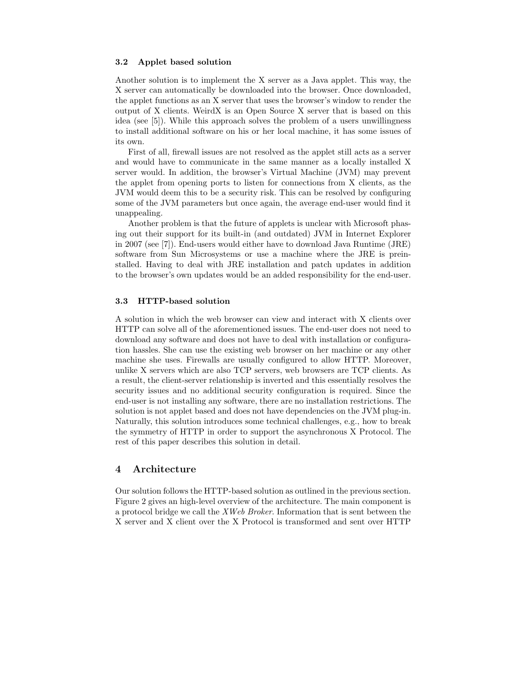#### 3.2 Applet based solution

Another solution is to implement the X server as a Java applet. This way, the X server can automatically be downloaded into the browser. Once downloaded, the applet functions as an X server that uses the browser's window to render the output of X clients. WeirdX is an Open Source X server that is based on this idea (see [5]). While this approach solves the problem of a users unwillingness to install additional software on his or her local machine, it has some issues of its own.

First of all, firewall issues are not resolved as the applet still acts as a server and would have to communicate in the same manner as a locally installed X server would. In addition, the browser's Virtual Machine (JVM) may prevent the applet from opening ports to listen for connections from X clients, as the JVM would deem this to be a security risk. This can be resolved by configuring some of the JVM parameters but once again, the average end-user would find it unappealing.

Another problem is that the future of applets is unclear with Microsoft phasing out their support for its built-in (and outdated) JVM in Internet Explorer in 2007 (see [7]). End-users would either have to download Java Runtime (JRE) software from Sun Microsystems or use a machine where the JRE is preinstalled. Having to deal with JRE installation and patch updates in addition to the browser's own updates would be an added responsibility for the end-user.

#### 3.3 HTTP-based solution

A solution in which the web browser can view and interact with X clients over HTTP can solve all of the aforementioned issues. The end-user does not need to download any software and does not have to deal with installation or configuration hassles. She can use the existing web browser on her machine or any other machine she uses. Firewalls are usually configured to allow HTTP. Moreover, unlike X servers which are also TCP servers, web browsers are TCP clients. As a result, the client-server relationship is inverted and this essentially resolves the security issues and no additional security configuration is required. Since the end-user is not installing any software, there are no installation restrictions. The solution is not applet based and does not have dependencies on the JVM plug-in. Naturally, this solution introduces some technical challenges, e.g., how to break the symmetry of HTTP in order to support the asynchronous X Protocol. The rest of this paper describes this solution in detail.

#### 4 Architecture

Our solution follows the HTTP-based solution as outlined in the previous section. Figure 2 gives an high-level overview of the architecture. The main component is a protocol bridge we call the  $XWeb$  Broker. Information that is sent between the X server and X client over the X Protocol is transformed and sent over HTTP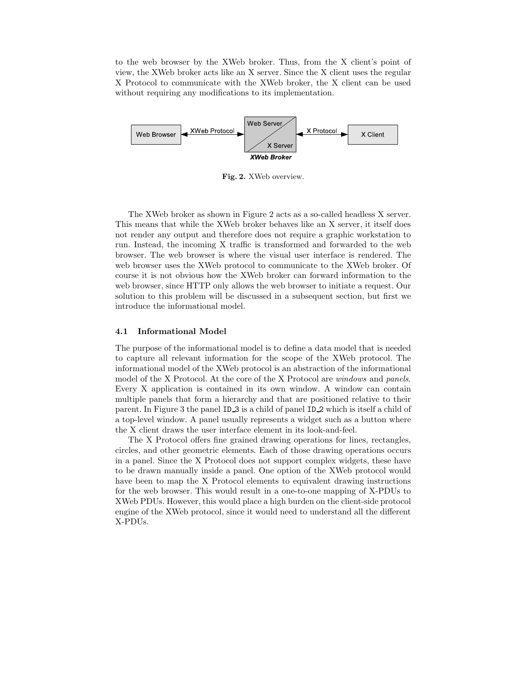to the web browser by the XWeb broker. Thus, from the X client's point of view, the XWeb broker acts like an X server. Since the X client uses the regular X Protocol to communicate with the XWeb broker, the X client can be used without requiring any modifications to its implementation.



Fig. 2. XWeb overview.

The XWeb broker as shown in Figure 2 acts as a so-called headless X server. This means that while the XWeb broker behaves like an X server, it itself does not render any output and therefore does not require a graphic workstation to run. Instead, the incoming X traffic is transformed and forwarded to the web browser. The web browser is where the visual user interface is rendered. The web browser uses the XWeb protocol to communicate to the XWeb broker. Of course it is not obvious how the XWeb broker can forward information to the web browser, since HTTP only allows the web browser to initiate a request. Our solution to this problem will be discussed in a subsequent section, but first we introduce the informational model.

#### 4.1 Informational Model

The purpose of the informational model is to define a data model that is needed to capture all relevant information for the scope of the XWeb protocol. The informational model of the XWeb protocol is an abstraction of the informational model of the X Protocol. At the core of the X Protocol are windows and panels. Every X application is contained in its own window. A window can contain multiple panels that form a hierarchy and that are positioned relative to their parent. In Figure 3 the panel ID 3 is a child of panel ID 2 which is itself a child of a top-level window. A panel usually represents a widget such as a button where the X client draws the user interface element in its look-and-feel.

The X Protocol offers fine grained drawing operations for lines, rectangles, circles, and other geometric elements. Each of those drawing operations occurs in a panel. Since the X Protocol does not support complex widgets, these have to be drawn manually inside a panel. One option of the XWeb protocol would have been to map the X Protocol elements to equivalent drawing instructions for the web browser. This would result in a one-to-one mapping of X-PDUs to XWeb PDUs. However, this would place a high burden on the client-side protocol engine of the XWeb protocol, since it would need to understand all the different X-PDUs.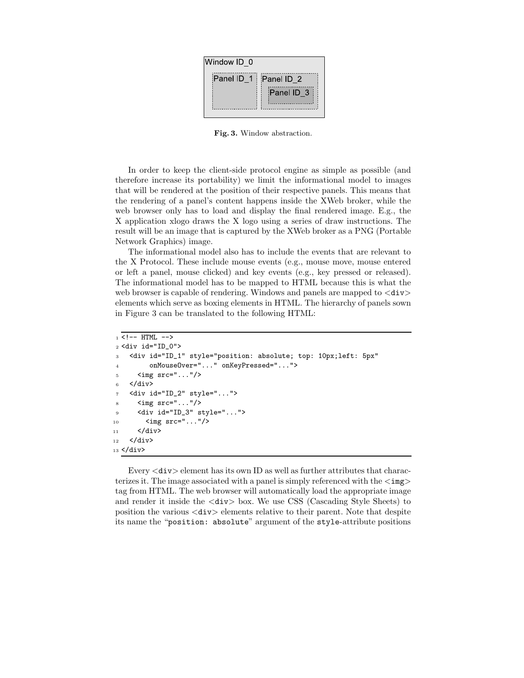

Fig. 3. Window abstraction.

In order to keep the client-side protocol engine as simple as possible (and therefore increase its portability) we limit the informational model to images that will be rendered at the position of their respective panels. This means that the rendering of a panel's content happens inside the XWeb broker, while the web browser only has to load and display the final rendered image. E.g., the X application xlogo draws the X logo using a series of draw instructions. The result will be an image that is captured by the XWeb broker as a PNG (Portable Network Graphics) image.

The informational model also has to include the events that are relevant to the X Protocol. These include mouse events (e.g., mouse move, mouse entered or left a panel, mouse clicked) and key events (e.g., key pressed or released). The informational model has to be mapped to HTML because this is what the web browser is capable of rendering. Windows and panels are mapped to  $\langle \text{div} \rangle$ elements which serve as boxing elements in HTML. The hierarchy of panels sown in Figure 3 can be translated to the following HTML:

```
1 <!-- HTML -->
_2 <div id="ID 0">
3 <div id="ID_1" style="position: absolute; top: 10px;left: 5px"
          onMouseOver="..." onKeyPressed="...">
5 \qquad \text{time src} = " \dots " \text{)}_6 </div>
    7 <div id="ID_2" style="...">
8 <img src="..."/>
9 <div id="ID_3" style="...">
10 <img src="..."/>
11 \langle \text{div} \rangle_{12} </div>
_{13} </div>
```
Every <div> element has its own ID as well as further attributes that characterizes it. The image associated with a panel is simply referenced with the  $\langle \text{img}\rangle$ tag from HTML. The web browser will automatically load the appropriate image and render it inside the  $\langle \text{div} \rangle$  box. We use CSS (Cascading Style Sheets) to position the various <div> elements relative to their parent. Note that despite its name the "position: absolute" argument of the style-attribute positions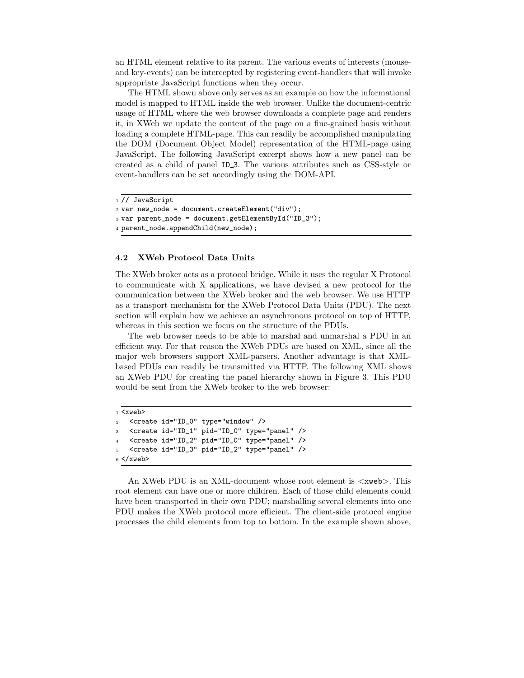an HTML element relative to its parent. The various events of interests (mouseand key-events) can be intercepted by registering event-handlers that will invoke appropriate JavaScript functions when they occur.

The HTML shown above only serves as an example on how the informational model is mapped to HTML inside the web browser. Unlike the document-centric usage of HTML where the web browser downloads a complete page and renders it, in XWeb we update the content of the page on a fine-grained basis without loading a complete HTML-page. This can readily be accomplished manipulating the DOM (Document Object Model) representation of the HTML-page using JavaScript. The following JavaScript excerpt shows how a new panel can be created as a child of panel ID 3. The various attributes such as CSS-style or event-handlers can be set accordingly using the DOM-API.

```
1 // JavaScript
```

```
2 var new_node = document.createElement("div");
```

```
3 var parent_node = document.getElementById("ID_3");
```

```
4 parent_node.appendChild(new_node);
```
#### 4.2 XWeb Protocol Data Units

The XWeb broker acts as a protocol bridge. While it uses the regular X Protocol to communicate with X applications, we have devised a new protocol for the communication between the XWeb broker and the web browser. We use HTTP as a transport mechanism for the XWeb Protocol Data Units (PDU). The next section will explain how we achieve an asynchronous protocol on top of HTTP, whereas in this section we focus on the structure of the PDUs.

The web browser needs to be able to marshal and unmarshal a PDU in an efficient way. For that reason the XWeb PDUs are based on XML, since all the major web browsers support XML-parsers. Another advantage is that XMLbased PDUs can readily be transmitted via HTTP. The following XML shows an XWeb PDU for creating the panel hierarchy shown in Figure 3. This PDU would be sent from the XWeb broker to the web browser:

```
1 <xweb>
2 <create id="ID_0" type="window" />
   3 <create id="ID_1" pid="ID_0" type="panel" />
   4 <create id="ID_2" pid="ID_0" type="panel" />
   5 <create id="ID_3" pid="ID_2" type="panel" />
_6 </xweb>
```
An XWeb PDU is an XML-document whose root element is  $\langle x \text{web} \rangle$ . This root element can have one or more children. Each of those child elements could have been transported in their own PDU; marshalling several elements into one PDU makes the XWeb protocol more efficient. The client-side protocol engine processes the child elements from top to bottom. In the example shown above,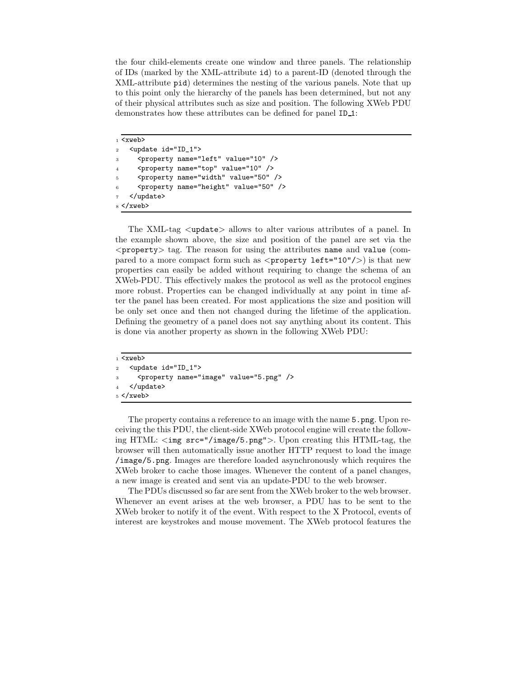the four child-elements create one window and three panels. The relationship of IDs (marked by the XML-attribute id) to a parent-ID (denoted through the XML-attribute pid) determines the nesting of the various panels. Note that up to this point only the hierarchy of the panels has been determined, but not any of their physical attributes such as size and position. The following XWeb PDU demonstrates how these attributes can be defined for panel ID<sub>1</sub>:

```
1 <xweb>
2 <update id="ID_1">
      3 <property name="left" value="10" />
      4 <property name="top" value="10" />
      5 <property name="width" value="50" />
      6 <property name="height" value="50" />
   7 </update>
8 </xweb>
```
The XML-tag  $\langle$ update $\rangle$  allows to alter various attributes of a panel. In the example shown above, the size and position of the panel are set via the  $\langle$  property  $>$  tag. The reason for using the attributes name and value (compared to a more compact form such as  $\langle$ property left="10"/ $\rangle$ ) is that new properties can easily be added without requiring to change the schema of an XWeb-PDU. This effectively makes the protocol as well as the protocol engines more robust. Properties can be changed individually at any point in time after the panel has been created. For most applications the size and position will be only set once and then not changed during the lifetime of the application. Defining the geometry of a panel does not say anything about its content. This is done via another property as shown in the following XWeb PDU:

```
_1 < xweb>
2 <update id="ID_1">
       3 <property name="image" value="5.png" />
    4 </update>
5 \frac{\text{y}}{\text{xweb}}
```
The property contains a reference to an image with the name 5.png. Upon receiving the this PDU, the client-side XWeb protocol engine will create the following HTML:  $\langle \text{img src} = " / \text{image} / 5 \text{ .} \text{prg} \rangle$ . Upon creating this HTML-tag, the browser will then automatically issue another HTTP request to load the image /image/5.png. Images are therefore loaded asynchronously which requires the XWeb broker to cache those images. Whenever the content of a panel changes, a new image is created and sent via an update-PDU to the web browser.

The PDUs discussed so far are sent from the XWeb broker to the web browser. Whenever an event arises at the web browser, a PDU has to be sent to the XWeb broker to notify it of the event. With respect to the X Protocol, events of interest are keystrokes and mouse movement. The XWeb protocol features the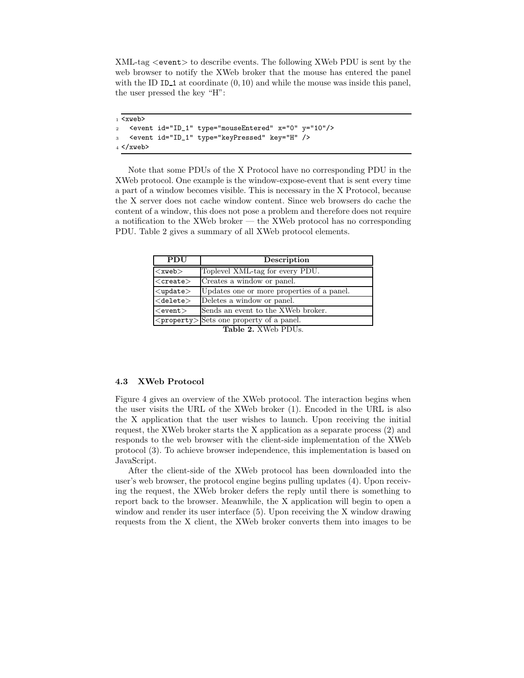XML-tag <event> to describe events. The following XWeb PDU is sent by the web browser to notify the XWeb broker that the mouse has entered the panel with the ID ID<sub>-1</sub> at coordinate  $(0, 10)$  and while the mouse was inside this panel, the user pressed the key "H":

```
_1 < xweb>
2 <event id="ID_1" type="mouseEntered" x="0" y="10"/>
3 <event id="ID_1" type="keyPressed" key="H" />
_4 </xweb>
```
Note that some PDUs of the X Protocol have no corresponding PDU in the XWeb protocol. One example is the window-expose-event that is sent every time a part of a window becomes visible. This is necessary in the X Protocol, because the X server does not cache window content. Since web browsers do cache the content of a window, this does not pose a problem and therefore does not require a notification to the XWeb broker — the XWeb protocol has no corresponding PDU. Table 2 gives a summary of all XWeb protocol elements.

| <b>PDU</b>          | Description                                                |  |  |  |
|---------------------|------------------------------------------------------------|--|--|--|
| $<$ xweb $>$        | Toplevel XML-tag for every PDU.                            |  |  |  |
| $<$ create $>$      | Creates a window or panel.                                 |  |  |  |
| $<$ update $>$      | Updates one or more properties of a panel.                 |  |  |  |
| $<$ delete $>$      | Deletes a window or panel.                                 |  |  |  |
| $<$ event $>$       | Sends an event to the XWeb broker.                         |  |  |  |
|                     | $\langle$ property $\rangle$ Sets one property of a panel. |  |  |  |
| Table 2. XWeb PDUs. |                                                            |  |  |  |

# 4.3 XWeb Protocol

Figure 4 gives an overview of the XWeb protocol. The interaction begins when the user visits the URL of the XWeb broker (1). Encoded in the URL is also the X application that the user wishes to launch. Upon receiving the initial request, the XWeb broker starts the X application as a separate process (2) and responds to the web browser with the client-side implementation of the XWeb protocol (3). To achieve browser independence, this implementation is based on JavaScript.

After the client-side of the XWeb protocol has been downloaded into the user's web browser, the protocol engine begins pulling updates (4). Upon receiving the request, the XWeb broker defers the reply until there is something to report back to the browser. Meanwhile, the X application will begin to open a window and render its user interface (5). Upon receiving the X window drawing requests from the X client, the XWeb broker converts them into images to be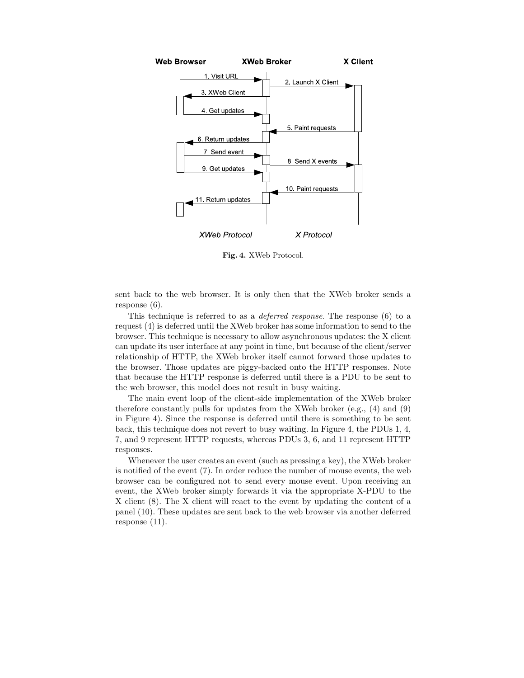

Fig. 4. XWeb Protocol.

sent back to the web browser. It is only then that the XWeb broker sends a response (6).

This technique is referred to as a deferred response. The response (6) to a request (4) is deferred until the XWeb broker has some information to send to the browser. This technique is necessary to allow asynchronous updates: the X client can update its user interface at any point in time, but because of the client/server relationship of HTTP, the XWeb broker itself cannot forward those updates to the browser. Those updates are piggy-backed onto the HTTP responses. Note that because the HTTP response is deferred until there is a PDU to be sent to the web browser, this model does not result in busy waiting.

The main event loop of the client-side implementation of the XWeb broker therefore constantly pulls for updates from the XWeb broker (e.g.,  $(4)$  and  $(9)$ ) in Figure 4). Since the response is deferred until there is something to be sent back, this technique does not revert to busy waiting. In Figure 4, the PDUs 1, 4, 7, and 9 represent HTTP requests, whereas PDUs 3, 6, and 11 represent HTTP responses.

Whenever the user creates an event (such as pressing a key), the XWeb broker is notified of the event (7). In order reduce the number of mouse events, the web browser can be configured not to send every mouse event. Upon receiving an event, the XWeb broker simply forwards it via the appropriate X-PDU to the X client (8). The X client will react to the event by updating the content of a panel (10). These updates are sent back to the web browser via another deferred response (11).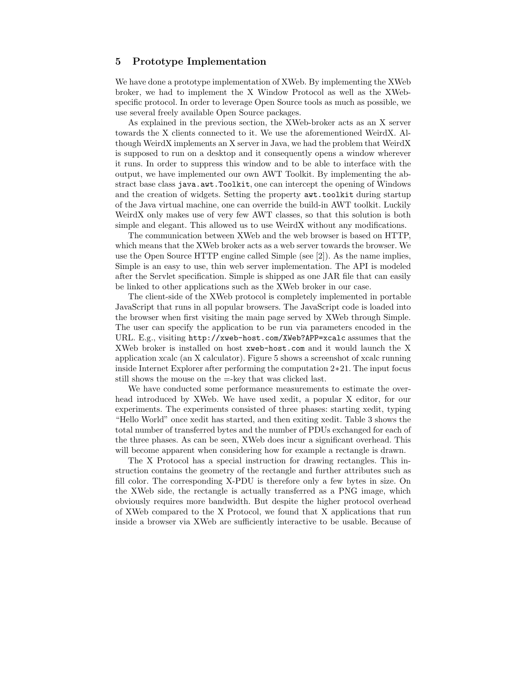## 5 Prototype Implementation

We have done a prototype implementation of XWeb. By implementing the XWeb broker, we had to implement the X Window Protocol as well as the XWebspecific protocol. In order to leverage Open Source tools as much as possible, we use several freely available Open Source packages.

As explained in the previous section, the XWeb-broker acts as an X server towards the X clients connected to it. We use the aforementioned WeirdX. Although WeirdX implements an X server in Java, we had the problem that WeirdX is supposed to run on a desktop and it consequently opens a window wherever it runs. In order to suppress this window and to be able to interface with the output, we have implemented our own AWT Toolkit. By implementing the abstract base class java.awt.Toolkit, one can intercept the opening of Windows and the creation of widgets. Setting the property awt.toolkit during startup of the Java virtual machine, one can override the build-in AWT toolkit. Luckily WeirdX only makes use of very few AWT classes, so that this solution is both simple and elegant. This allowed us to use WeirdX without any modifications.

The communication between XWeb and the web browser is based on HTTP, which means that the XWeb broker acts as a web server towards the browser. We use the Open Source HTTP engine called Simple (see [2]). As the name implies, Simple is an easy to use, thin web server implementation. The API is modeled after the Servlet specification. Simple is shipped as one JAR file that can easily be linked to other applications such as the XWeb broker in our case.

The client-side of the XWeb protocol is completely implemented in portable JavaScript that runs in all popular browsers. The JavaScript code is loaded into the browser when first visiting the main page served by XWeb through Simple. The user can specify the application to be run via parameters encoded in the URL. E.g., visiting http://xweb-host.com/XWeb?APP=xcalc assumes that the XWeb broker is installed on host xweb-host.com and it would launch the X application xcalc (an X calculator). Figure 5 shows a screenshot of xcalc running inside Internet Explorer after performing the computation 2∗21. The input focus still shows the mouse on the =-key that was clicked last.

We have conducted some performance measurements to estimate the overhead introduced by XWeb. We have used xedit, a popular X editor, for our experiments. The experiments consisted of three phases: starting xedit, typing "Hello World" once xedit has started, and then exiting xedit. Table 3 shows the total number of transferred bytes and the number of PDUs exchanged for each of the three phases. As can be seen, XWeb does incur a significant overhead. This will become apparent when considering how for example a rectangle is drawn.

The X Protocol has a special instruction for drawing rectangles. This instruction contains the geometry of the rectangle and further attributes such as fill color. The corresponding X-PDU is therefore only a few bytes in size. On the XWeb side, the rectangle is actually transferred as a PNG image, which obviously requires more bandwidth. But despite the higher protocol overhead of XWeb compared to the X Protocol, we found that X applications that run inside a browser via XWeb are sufficiently interactive to be usable. Because of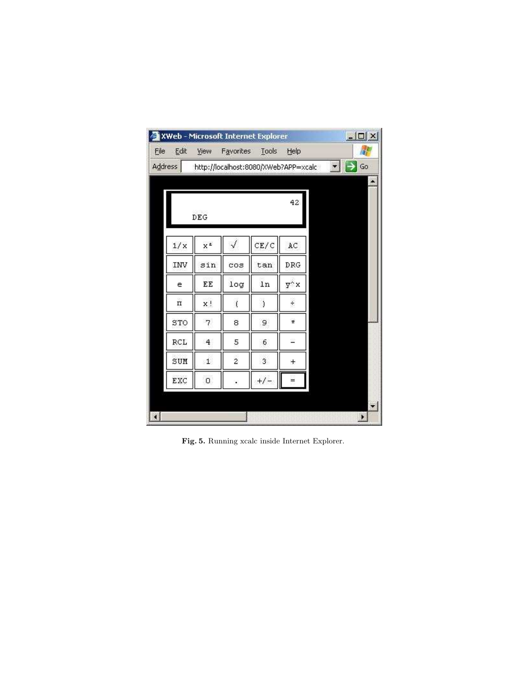| Eile    | Edit                    | View:                    | Favorites      | Tools                                | Help    | <b>A</b> |
|---------|-------------------------|--------------------------|----------------|--------------------------------------|---------|----------|
| Address |                         |                          |                | http://localhost:8080/XWeb?APP=xcalc |         | Go-      |
|         |                         |                          |                |                                      |         |          |
|         |                         |                          |                |                                      | 42      |          |
|         |                         | DEG                      |                |                                      |         |          |
|         | 1/x                     | $x^2$                    | $\checkmark$   | CE/C                                 | AC.     |          |
|         | INV                     | sin                      | cos            | tan                                  | DRG     |          |
|         | е                       | EE                       | log            | 1n                                   | Δ, Χ    |          |
|         | $\overline{\mathbf{u}}$ | x!                       | ţ              | $\mathfrak{z}$                       | ě       |          |
|         | STO                     | $\overline{\mathcal{L}}$ | 8              | 9                                    | $\star$ |          |
|         | RCL                     | 4                        | 5              | 6                                    | ž       |          |
|         | SUM                     | $\mathbf{1}$             | $\overline{c}$ | 3                                    | 击       |          |
|         | EXC                     | 0                        |                | $+/-$                                | $=$     |          |
|         |                         |                          |                |                                      |         |          |

Fig. 5. Running xcalc inside Internet Explorer.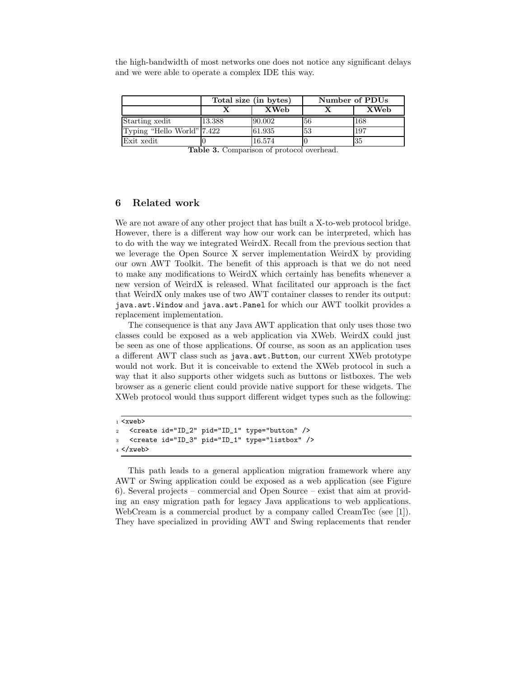the high-bandwidth of most networks one does not notice any significant delays and we were able to operate a complex IDE this way.

|                            | Total size (in bytes) |        | Number of PDUs |      |
|----------------------------|-----------------------|--------|----------------|------|
|                            |                       | XWeb   |                | XWeb |
| Starting xedit             | 13.388                | 90.002 | -56            | 168  |
| Typing "Hello World" 7.422 |                       | 61.935 | 53             | 197  |
| Exit xedit                 |                       | 16.574 |                |      |

|  | Table 3. Comparison of protocol overhead. |  |  |
|--|-------------------------------------------|--|--|
|--|-------------------------------------------|--|--|

## 6 Related work

We are not aware of any other project that has built a X-to-web protocol bridge. However, there is a different way how our work can be interpreted, which has to do with the way we integrated WeirdX. Recall from the previous section that we leverage the Open Source X server implementation WeirdX by providing our own AWT Toolkit. The benefit of this approach is that we do not need to make any modifications to WeirdX which certainly has benefits whenever a new version of WeirdX is released. What facilitated our approach is the fact that WeirdX only makes use of two AWT container classes to render its output: java.awt.Window and java.awt.Panel for which our AWT toolkit provides a replacement implementation.

The consequence is that any Java AWT application that only uses those two classes could be exposed as a web application via XWeb. WeirdX could just be seen as one of those applications. Of course, as soon as an application uses a different AWT class such as java.awt.Button, our current XWeb prototype would not work. But it is conceivable to extend the XWeb protocol in such a way that it also supports other widgets such as buttons or listboxes. The web browser as a generic client could provide native support for these widgets. The XWeb protocol would thus support different widget types such as the following:

```
1 <xweb>
2 <create id="ID_2" pid="ID_1" type="button" />
   3 <create id="ID_3" pid="ID_1" type="listbox" />
_4 </xweb>
```
This path leads to a general application migration framework where any AWT or Swing application could be exposed as a web application (see Figure 6). Several projects – commercial and Open Source – exist that aim at providing an easy migration path for legacy Java applications to web applications. WebCream is a commercial product by a company called CreamTec (see [1]). They have specialized in providing AWT and Swing replacements that render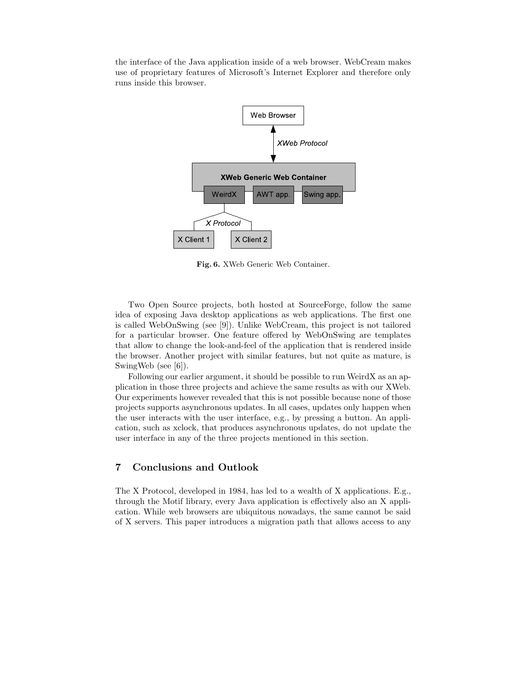the interface of the Java application inside of a web browser. WebCream makes use of proprietary features of Microsoft's Internet Explorer and therefore only runs inside this browser.



Fig. 6. XWeb Generic Web Container.

Two Open Source projects, both hosted at SourceForge, follow the same idea of exposing Java desktop applications as web applications. The first one is called WebOnSwing (see [9]). Unlike WebCream, this project is not tailored for a particular browser. One feature offered by WebOnSwing are templates that allow to change the look-and-feel of the application that is rendered inside the browser. Another project with similar features, but not quite as mature, is SwingWeb (see [6]).

Following our earlier argument, it should be possible to run WeirdX as an application in those three projects and achieve the same results as with our XWeb. Our experiments however revealed that this is not possible because none of those projects supports asynchronous updates. In all cases, updates only happen when the user interacts with the user interface, e.g., by pressing a button. An application, such as xclock, that produces asynchronous updates, do not update the user interface in any of the three projects mentioned in this section.

## 7 Conclusions and Outlook

The X Protocol, developed in 1984, has led to a wealth of X applications. E.g., through the Motif library, every Java application is effectively also an X application. While web browsers are ubiquitous nowadays, the same cannot be said of X servers. This paper introduces a migration path that allows access to any